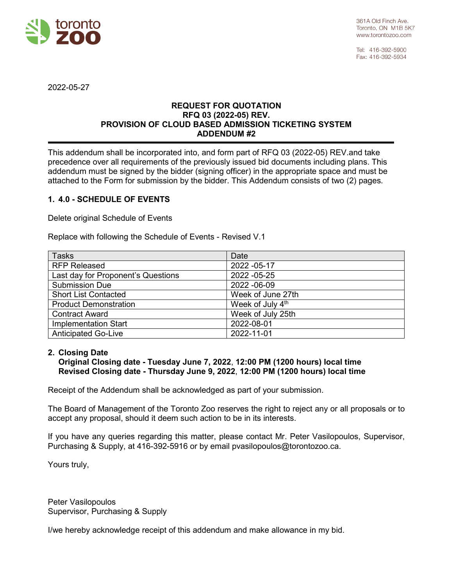

Tel: 416-392-5900 Fax: 416-392-5934

2022-05-27

## **REQUEST FOR QUOTATION RFQ 03 (2022-05) REV. PROVISION OF CLOUD BASED ADMISSION TICKETING SYSTEM ADDENDUM #2**

This addendum shall be incorporated into, and form part of RFQ 03 (2022-05) REV.and take precedence over all requirements of the previously issued bid documents including plans. This addendum must be signed by the bidder (signing officer) in the appropriate space and must be attached to the Form for submission by the bidder. This Addendum consists of two (2) pages.

## **1. 4.0 - SCHEDULE OF EVENTS**

Delete original Schedule of Events

Replace with following the Schedule of Events - Revised V.1

| <b>Tasks</b>                       | Date              |
|------------------------------------|-------------------|
| <b>RFP Released</b>                | 2022 - 05-17      |
| Last day for Proponent's Questions | 2022 - 05-25      |
| <b>Submission Due</b>              | 2022 - 06-09      |
| <b>Short List Contacted</b>        | Week of June 27th |
| <b>Product Demonstration</b>       | Week of July 4th  |
| <b>Contract Award</b>              | Week of July 25th |
| <b>Implementation Start</b>        | 2022-08-01        |
| <b>Anticipated Go-Live</b>         | 2022-11-01        |

## **2. Closing Date**

**Original Closing date - Tuesday June 7, 2022**, **12:00 PM (1200 hours) local time Revised Closing date - Thursday June 9, 2022**, **12:00 PM (1200 hours) local time**

Receipt of the Addendum shall be acknowledged as part of your submission.

The Board of Management of the Toronto Zoo reserves the right to reject any or all proposals or to accept any proposal, should it deem such action to be in its interests.

If you have any queries regarding this matter, please contact Mr. Peter Vasilopoulos, Supervisor, Purchasing & Supply, at 416-392-5916 or by email pvasilopoulos@torontozoo.ca.

Yours truly,

Peter Vasilopoulos Supervisor, Purchasing & Supply

I/we hereby acknowledge receipt of this addendum and make allowance in my bid.